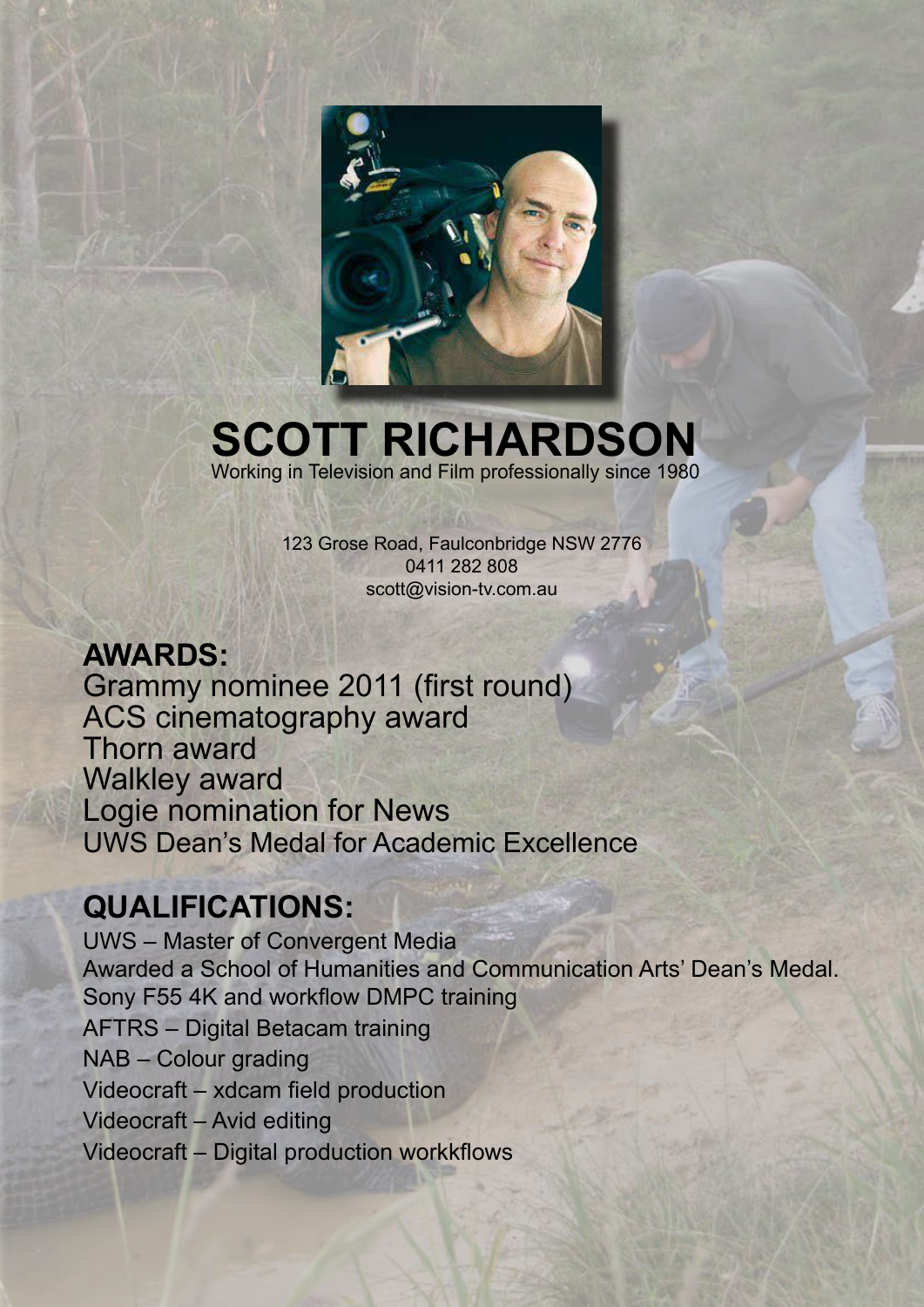

## **SCOTT RICHARDSON** Working in Television and Film professionally since 1980

123 Grose Road, Faulconbridge NSW 2776 0411 282 808 scott@vision-tv.com.au

## **AWARDS:**

Grammy nominee 2011 (first round) ACS cinematography award Thorn award Walkley award Logie nomination for News UWS Dean's Medal for Academic Excellence

## **QUALIFICATIONS:**

UWS – Master of Convergent Media Awarded a School of Humanities and Communication Arts' Dean's Medal. Sony F55 4K and workflow DMPC training AFTRS – Digital Betacam training NAB – Colour grading Videocraft – xdcam field production Videocraft – Avid editing Videocraft – Digital production workkflows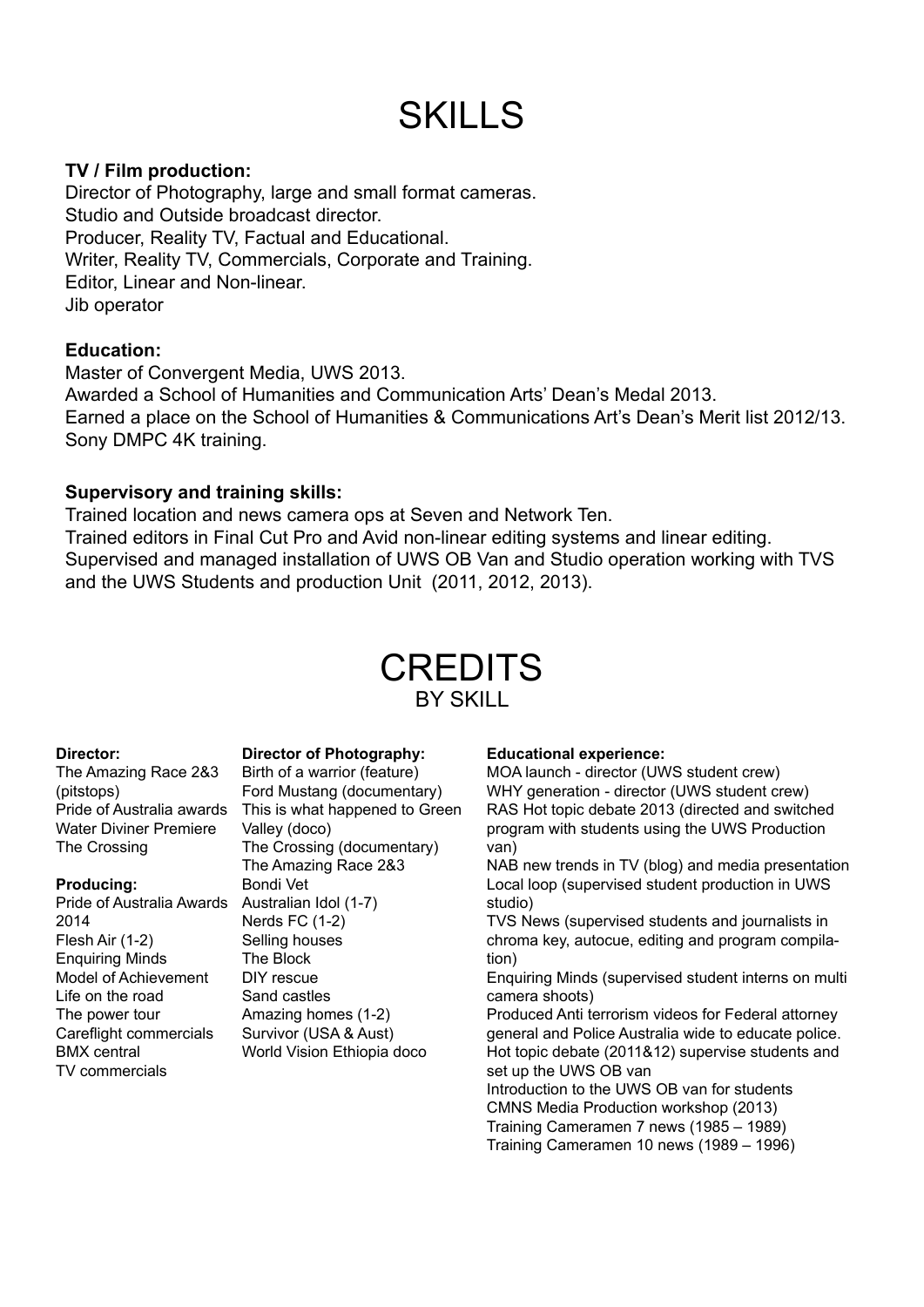# SKILLS

#### **TV / Film production:**

Director of Photography, large and small format cameras. Studio and Outside broadcast director. Producer, Reality TV, Factual and Educational. Writer, Reality TV, Commercials, Corporate and Training. Editor, Linear and Non-linear. Jib operator

#### **Education:**

Master of Convergent Media, UWS 2013. Awarded a School of Humanities and Communication Arts' Dean's Medal 2013. Earned a place on the School of Humanities & Communications Art's Dean's Merit list 2012/13. Sony DMPC 4K training.

#### **Supervisory and training skills:**

Trained location and news camera ops at Seven and Network Ten. Trained editors in Final Cut Pro and Avid non-linear editing systems and linear editing. Supervised and managed installation of UWS OB Van and Studio operation working with TVS and the UWS Students and production Unit (2011, 2012, 2013).

### **CREDITS** BY SKILL

#### **Director:**

The Amazing Race 2&3 (pitstops) Pride of Australia awards Water Diviner Premiere The Crossing

#### **Producing:**

Pride of Australia Awards Australian Idol (1-7) 2014 Flesh Air (1-2) Enquiring Minds Model of Achievement Life on the road The power tour Careflight commercials BMX central TV commercials

**Director of Photography:** Birth of a warrior (feature) Ford Mustang (documentary) This is what happened to Green Valley (doco) The Crossing (documentary) The Amazing Race 2&3 Bondi Vet Nerds FC (1-2) Selling houses The Block DIY rescue Sand castles Amazing homes (1-2) Survivor (USA & Aust) World Vision Ethiopia doco

#### **Educational experience:**

MOA launch - director (UWS student crew) WHY generation - director (UWS student crew) RAS Hot topic debate 2013 (directed and switched program with students using the UWS Production van)

NAB new trends in TV (blog) and media presentation Local loop (supervised student production in UWS studio)

TVS News (supervised students and journalists in chroma key, autocue, editing and program compilation)

Enquiring Minds (supervised student interns on multi camera shoots)

Produced Anti terrorism videos for Federal attorney general and Police Australia wide to educate police. Hot topic debate (2011&12) supervise students and set up the UWS OB van

Introduction to the UWS OB van for students CMNS Media Production workshop (2013) Training Cameramen 7 news (1985 – 1989) Training Cameramen 10 news (1989 – 1996)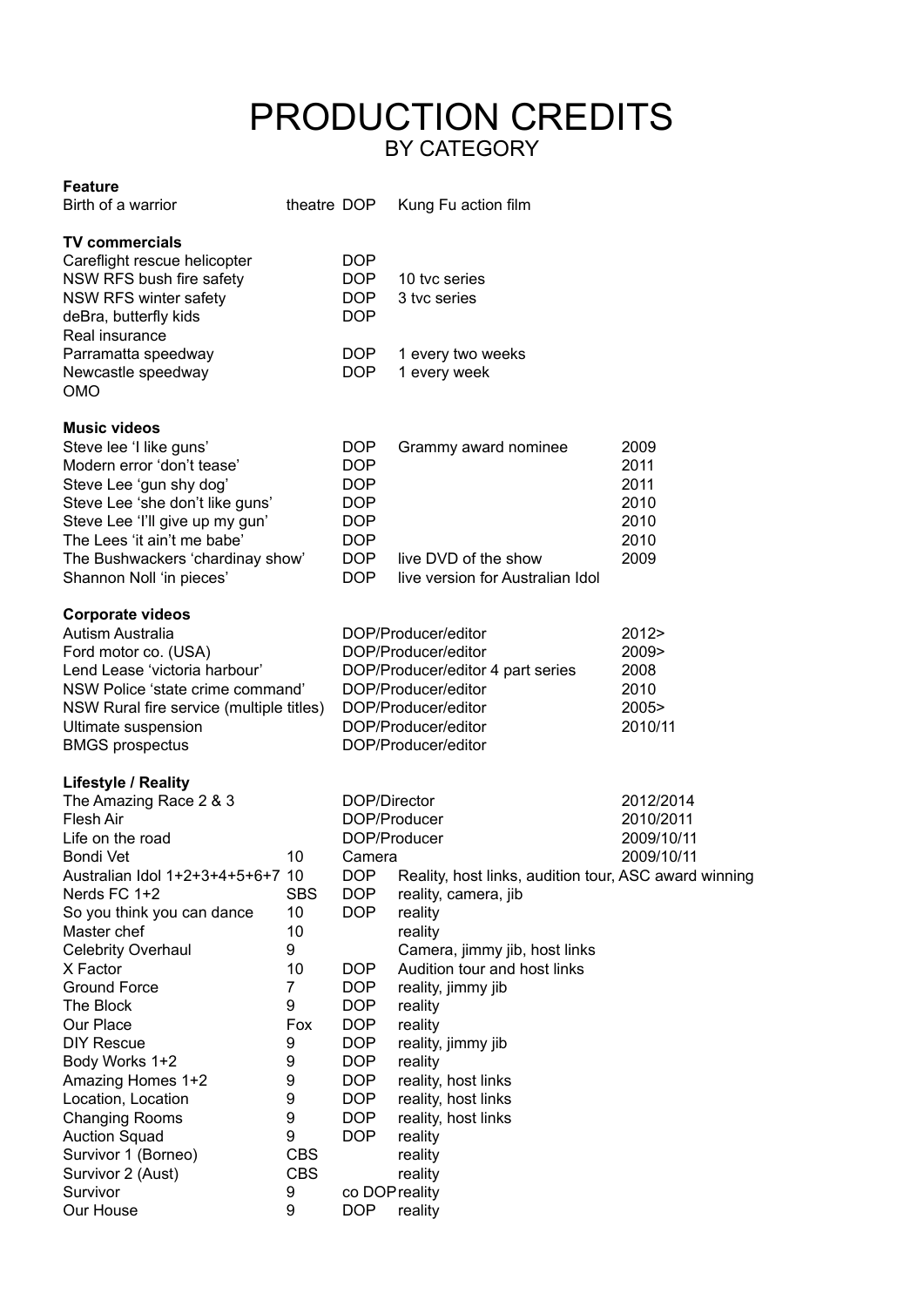### PRODUCTION CREDITS BY CATEGORY

#### **Feature**

| Birth of a warrior                                                                                                                                                                                                                                                                                                                                                                                                                                                                                           |                                                                                                                              |                                                                                                                                                                                                                                                                          | theatre DOP Kung Fu action film                                                                                                                                                                                                                                                                                                                                    |                                                      |
|--------------------------------------------------------------------------------------------------------------------------------------------------------------------------------------------------------------------------------------------------------------------------------------------------------------------------------------------------------------------------------------------------------------------------------------------------------------------------------------------------------------|------------------------------------------------------------------------------------------------------------------------------|--------------------------------------------------------------------------------------------------------------------------------------------------------------------------------------------------------------------------------------------------------------------------|--------------------------------------------------------------------------------------------------------------------------------------------------------------------------------------------------------------------------------------------------------------------------------------------------------------------------------------------------------------------|------------------------------------------------------|
| <b>TV commercials</b><br>Careflight rescue helicopter<br>NSW RFS bush fire safety<br>NSW RFS winter safety<br>deBra, butterfly kids<br>Real insurance                                                                                                                                                                                                                                                                                                                                                        |                                                                                                                              | <b>DOP</b><br>DOP<br><b>DOP</b><br><b>DOP</b>                                                                                                                                                                                                                            | 10 tyc series<br>3 tvc series                                                                                                                                                                                                                                                                                                                                      |                                                      |
| Parramatta speedway<br>Newcastle speedway<br><b>OMO</b>                                                                                                                                                                                                                                                                                                                                                                                                                                                      |                                                                                                                              | DOP<br><b>DOP</b>                                                                                                                                                                                                                                                        | 1 every two weeks<br>1 every week                                                                                                                                                                                                                                                                                                                                  |                                                      |
| <b>Music videos</b><br>Steve lee 'I like guns'<br>Modern error 'don't tease'<br>Steve Lee 'gun shy dog'<br>Steve Lee 'she don't like guns'<br>Steve Lee 'I'll give up my gun'<br>The Lees 'it ain't me babe'<br>The Bushwackers 'chardinay show'<br>Shannon Noll 'in pieces'                                                                                                                                                                                                                                 |                                                                                                                              | <b>DOP</b><br><b>DOP</b><br><b>DOP</b><br><b>DOP</b><br><b>DOP</b><br><b>DOP</b><br><b>DOP</b><br><b>DOP</b>                                                                                                                                                             | Grammy award nominee<br>live DVD of the show<br>live version for Australian Idol                                                                                                                                                                                                                                                                                   | 2009<br>2011<br>2011<br>2010<br>2010<br>2010<br>2009 |
| <b>Corporate videos</b><br><b>Autism Australia</b><br>Ford motor co. (USA)<br>Lend Lease 'victoria harbour'<br>NSW Police 'state crime command'<br>NSW Rural fire service (multiple titles)<br>Ultimate suspension<br><b>BMGS</b> prospectus                                                                                                                                                                                                                                                                 |                                                                                                                              | DOP/Producer/editor<br>DOP/Producer/editor<br>DOP/Producer/editor 4 part series<br>DOP/Producer/editor<br>DOP/Producer/editor<br>DOP/Producer/editor<br>DOP/Producer/editor                                                                                              |                                                                                                                                                                                                                                                                                                                                                                    | 2012><br>2009><br>2008<br>2010<br>2005><br>2010/11   |
| <b>Lifestyle / Reality</b><br>The Amazing Race 2 & 3<br><b>Flesh Air</b><br>Life on the road<br>Bondi Vet<br>Australian Idol 1+2+3+4+5+6+7 10<br>Nerds FC 1+2<br>So you think you can dance<br>Master chef<br><b>Celebrity Overhaul</b><br>X Factor<br><b>Ground Force</b><br>The Block<br>Our Place<br><b>DIY Rescue</b><br>Body Works 1+2<br>Amazing Homes 1+2<br>Location, Location<br><b>Changing Rooms</b><br><b>Auction Squad</b><br>Survivor 1 (Borneo)<br>Survivor 2 (Aust)<br>Survivor<br>Our House | 10<br><b>SBS</b><br>10<br>10<br>9<br>10<br>7<br>9<br>Fox<br>9<br>9<br>9<br>9<br>9<br>9<br><b>CBS</b><br><b>CBS</b><br>9<br>9 | DOP/Director<br>DOP/Producer<br>DOP/Producer<br>Camera<br>DOP DO<br><b>DOP</b><br><b>DOP</b><br><b>DOP</b><br><b>DOP</b><br><b>DOP</b><br><b>DOP</b><br><b>DOP</b><br><b>DOP</b><br><b>DOP</b><br><b>DOP</b><br><b>DOP</b><br><b>DOP</b><br>co DOP reality<br><b>DOP</b> | Reality, host links, audition tour, ASC award winning<br>reality, camera, jib<br>reality<br>reality<br>Camera, jimmy jib, host links<br>Audition tour and host links<br>reality, jimmy jib<br>reality<br>reality<br>reality, jimmy jib<br>reality<br>reality, host links<br>reality, host links<br>reality, host links<br>reality<br>reality<br>reality<br>reality | 2012/2014<br>2010/2011<br>2009/10/11<br>2009/10/11   |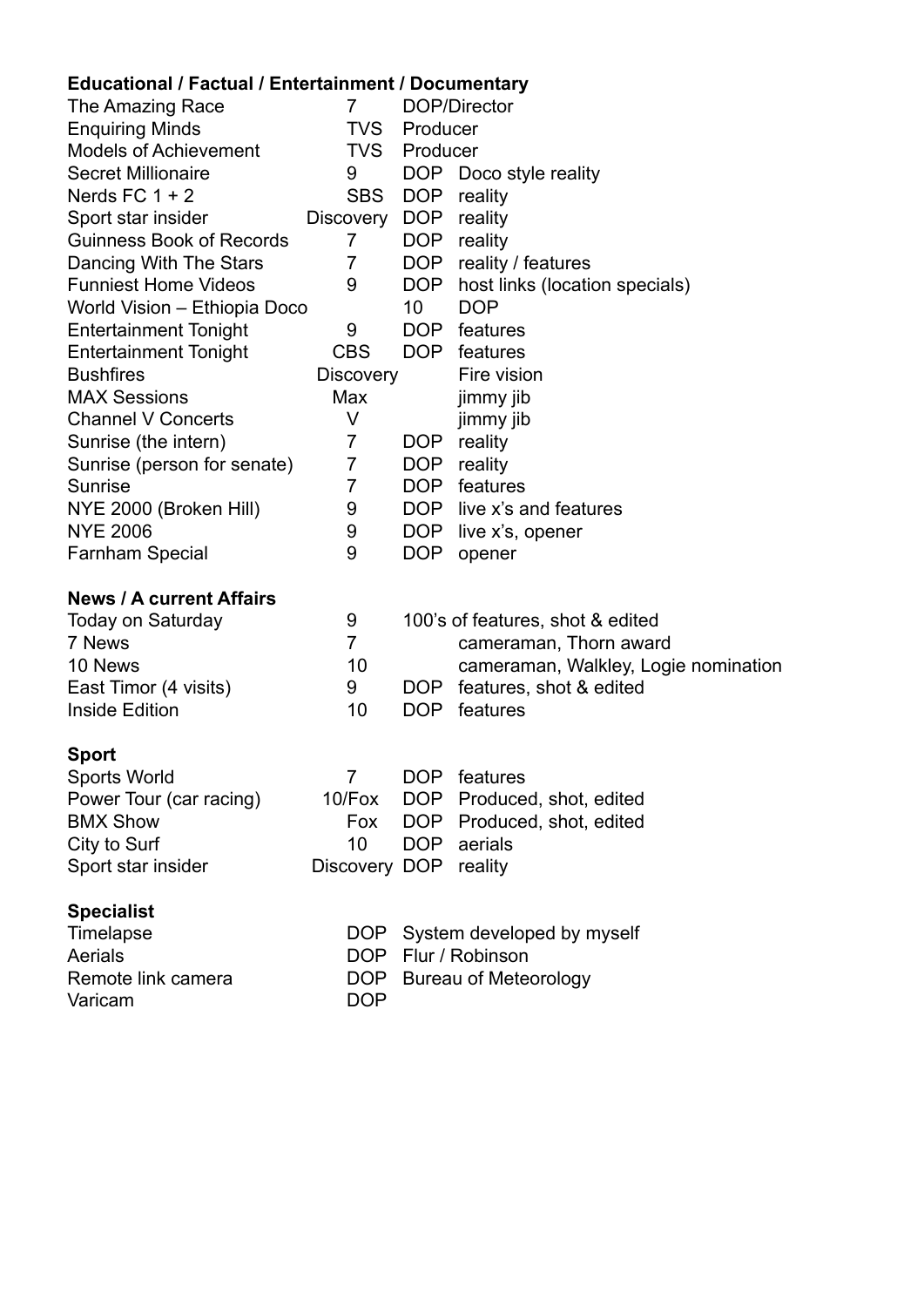### **Educational / Factual / Entertainment / Documentary**

| Equeational / Factual / Entertainment / Documentary |                  |                              |                                      |  |
|-----------------------------------------------------|------------------|------------------------------|--------------------------------------|--|
| The Amazing Race                                    | 7                | DOP/Director                 |                                      |  |
| <b>Enquiring Minds</b>                              | <b>TVS</b>       | Producer                     |                                      |  |
| <b>Models of Achievement</b>                        | <b>TVS</b>       | Producer                     |                                      |  |
| <b>Secret Millionaire</b>                           | 9                |                              | DOP Doco style reality               |  |
| Nerds FC $1 + 2$                                    | <b>SBS</b>       | DOP                          | reality                              |  |
| Sport star insider                                  | Discovery        | DOP                          | reality                              |  |
| <b>Guinness Book of Records</b>                     | $\overline{7}$   | DOP                          | reality                              |  |
| Dancing With The Stars                              | $\overline{7}$   | DOP                          | reality / features                   |  |
| <b>Funniest Home Videos</b>                         | 9                | DOP                          | host links (location specials)       |  |
| World Vision - Ethiopia Doco                        |                  |                              | <b>DOP</b>                           |  |
| <b>Entertainment Tonight</b>                        | 9                | DOP .                        | features                             |  |
| <b>Entertainment Tonight</b>                        | <b>CBS</b>       |                              | DOP features                         |  |
| <b>Bushfires</b>                                    | <b>Discovery</b> |                              | Fire vision                          |  |
| <b>MAX Sessions</b>                                 | Max              |                              | jimmy jib                            |  |
| <b>Channel V Concerts</b>                           | V                |                              | jimmy jib                            |  |
| Sunrise (the intern)                                | 7                | DOP                          | reality                              |  |
| Sunrise (person for senate)                         | $\overline{7}$   | DOP                          | reality                              |  |
| <b>Sunrise</b>                                      | $\overline{7}$   | DOP .                        | features                             |  |
| NYE 2000 (Broken Hill)                              | 9                |                              | DOP live x's and features            |  |
| <b>NYE 2006</b>                                     | 9                | DOP .                        | live x's, opener                     |  |
| <b>Farnham Special</b>                              | 9                | <b>DOP</b>                   | opener                               |  |
| <b>News / A current Affairs</b>                     |                  |                              |                                      |  |
| <b>Today on Saturday</b>                            | 9                |                              | 100's of features, shot & edited     |  |
| 7 News                                              | $\overline{7}$   |                              | cameraman, Thorn award               |  |
| 10 News                                             | 10               |                              | cameraman, Walkley, Logie nomination |  |
| East Timor (4 visits)                               | 9                |                              | DOP features, shot & edited          |  |
| <b>Inside Edition</b>                               | 10               | DOP .                        | features                             |  |
|                                                     |                  |                              |                                      |  |
| <b>Sport</b>                                        |                  |                              |                                      |  |
| <b>Sports World</b>                                 | 7                |                              | DOP features                         |  |
| Power Tour (car racing)                             | 10/Fox           |                              | DOP Produced, shot, edited           |  |
| <b>BMX Show</b>                                     | Fox              |                              | DOP Produced, shot, edited           |  |
| City to Surf                                        | 10               | DOP                          | aerials                              |  |
| Sport star insider                                  | Discovery DOP    |                              | reality                              |  |
| <b>Specialist</b>                                   |                  |                              |                                      |  |
| Timelapse                                           | DOP .            |                              | System developed by myself           |  |
| Aerials                                             |                  |                              | DOP Flur / Robinson                  |  |
| Remote link camera                                  | DOP              | <b>Bureau of Meteorology</b> |                                      |  |
| Varicam                                             | <b>DOP</b>       |                              |                                      |  |